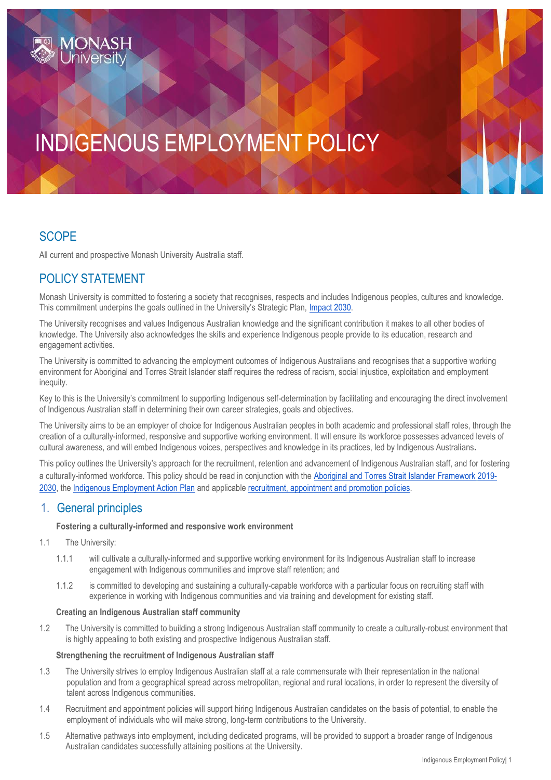# INDIGENOUS EMPLOYMENT POLICY

# **SCOPE**

All current and prospective Monash University Australia staff.

# POLICY STATEMENT

Monash University is committed to fostering a society that recognises, respects and includes Indigenous peoples, cultures and knowledge. This commitment underpins the goals outlined in the University's Strategic Plan, *Impact 2030*.

The University recognises and values Indigenous Australian knowledge and the significant contribution it makes to all other bodies of knowledge. The University also acknowledges the skills and experience Indigenous people provide to its education, research and engagement activities.

The University is committed to advancing the employment outcomes of Indigenous Australians and recognises that a supportive working environment for Aboriginal and Torres Strait Islander staff requires the redress of racism, social injustice, exploitation and employment inequity.

Key to this is the University's commitment to supporting Indigenous self-determination by facilitating and encouraging the direct involvement of Indigenous Australian staff in determining their own career strategies, goals and objectives.

The University aims to be an employer of choice for Indigenous Australian peoples in both academic and professional staff roles, through the creation of a culturally-informed, responsive and supportive working environment. It will ensure its workforce possesses advanced levels of cultural awareness, and will embed Indigenous voices, perspectives and knowledge in its practices, led by Indigenous Australians.

This policy outlines the University's approach for the recruitment, retention and advancement of Indigenous Australian staff, and for fostering a culturally-informed workforce. This policy should be read in conjunction with the [Aboriginal and Torres Strait Islander Framework](https://www.monash.edu/__data/assets/pdf_file/0005/1573502/18P-0628-Indigenous-Framework-Monash-University.pdf) [2019-](https://www.monash.edu/__data/assets/pdf_file/0005/1573502/18P-0628-Indigenous-Framework-Monash-University.pdf) [2030,](https://www.monash.edu/__data/assets/pdf_file/0005/1573502/18P-0628-Indigenous-Framework-Monash-University.pdf) the [Indigenous Employment Action Plan](https://www.monash.edu/__data/assets/pdf_file/0019/2140516/Indigenous-Employment-Action-Plan.pdf) and applicable [recruitment, appointment and promotion policies.](https://www.monash.edu/policy-bank/workplace-policy)

## 1. General principles

## **Fostering a culturally-informed and responsive work environment**

- 1.1 The University:
	- 1.1.1 will cultivate a culturally-informed and supportive working environment for its Indigenous Australian staff to increase engagement with Indigenous communities and improve staff retention; and
	- 1.1.2 is committed to developing and sustaining a culturally-capable workforce with a particular focus on recruiting staff with experience in working with Indigenous communities and via training and development for existing staff.

## **Creating an Indigenous Australian staff community**

1.2 The University is committed to building a strong Indigenous Australian staff community to create a culturally-robust environment that is highly appealing to both existing and prospective Indigenous Australian staff.

## **Strengthening the recruitment of Indigenous Australian staff**

- 1.3 The University strives to employ Indigenous Australian staff at a rate commensurate with their representation in the national population and from a geographical spread across metropolitan, regional and rural locations, in order to represent the diversity of talent across Indigenous communities.
- 1.4 Recruitment and appointment policies will support hiring Indigenous Australian candidates on the basis of potential, to enable the employment of individuals who will make strong, long-term contributions to the University.
- 1.5 Alternative pathways into employment, including dedicated programs, will be provided to support a broader range of Indigenous Australian candidates successfully attaining positions at the University.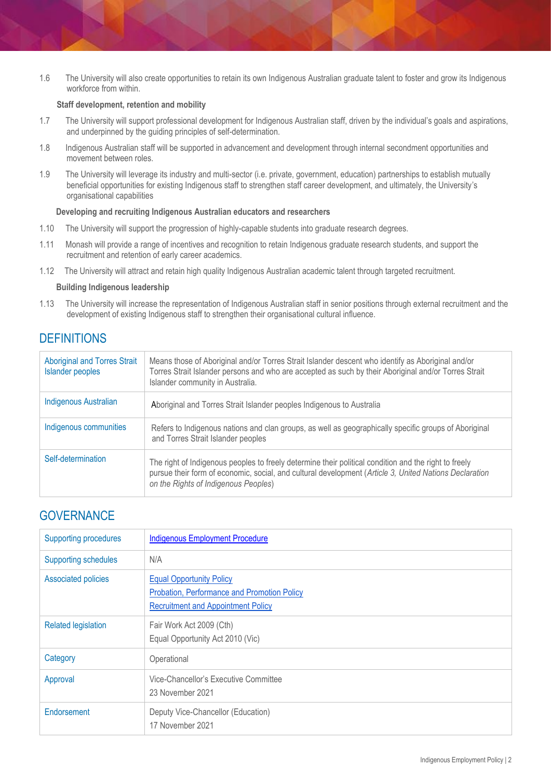1.6 The University will also create opportunities to retain its own Indigenous Australian graduate talent to foster and grow its Indigenous workforce from within.

## **Staff development, retention and mobility**

- 1.7 The University will support professional development for Indigenous Australian staff, driven by the individual's goals and aspirations, and underpinned by the guiding principles of self-determination.
- 1.8 Indigenous Australian staff will be supported in advancement and development through internal secondment opportunities and movement between roles.
- 1.9 The University will leverage its industry and multi-sector (i.e. private, government, education) partnerships to establish mutually beneficial opportunities for existing Indigenous staff to strengthen staff career development, and ultimately, the University's organisational capabilities

#### **Developing and recruiting Indigenous Australian educators and researchers**

- 1.10 The University will support the progression of highly-capable students into graduate research degrees.
- 1.11 Monash will provide a range of incentives and recognition to retain Indigenous graduate research students, and support the recruitment and retention of early career academics.
- 1.12 The University will attract and retain high quality Indigenous Australian academic talent through targeted recruitment.

#### **Building Indigenous leadership**

1.13 The University will increase the representation of Indigenous Australian staff in senior positions through external recruitment and the development of existing Indigenous staff to strengthen their organisational cultural influence.

## **DEFINITIONS**

| <b>Aboriginal and Torres Strait</b><br><b>Islander peoples</b> | Means those of Aboriginal and/or Torres Strait Islander descent who identify as Aboriginal and/or<br>Torres Strait Islander persons and who are accepted as such by their Aboriginal and/or Torres Strait<br>Islander community in Australia.           |
|----------------------------------------------------------------|---------------------------------------------------------------------------------------------------------------------------------------------------------------------------------------------------------------------------------------------------------|
| <b>Indigenous Australian</b>                                   | Aboriginal and Torres Strait Islander peoples Indigenous to Australia                                                                                                                                                                                   |
| Indigenous communities                                         | Refers to Indigenous nations and clan groups, as well as geographically specific groups of Aboriginal<br>and Torres Strait Islander peoples                                                                                                             |
| Self-determination                                             | The right of Indigenous peoples to freely determine their political condition and the right to freely<br>pursue their form of economic, social, and cultural development (Article 3, United Nations Declaration<br>on the Rights of Indigenous Peoples) |

# **GOVERNANCE**

| <b>Supporting procedures</b> | <b>Indigenous Employment Procedure</b>                                                                                      |
|------------------------------|-----------------------------------------------------------------------------------------------------------------------------|
| <b>Supporting schedules</b>  | N/A                                                                                                                         |
| <b>Associated policies</b>   | <b>Equal Opportunity Policy</b><br>Probation, Performance and Promotion Policy<br><b>Recruitment and Appointment Policy</b> |
| <b>Related legislation</b>   | Fair Work Act 2009 (Cth)<br>Equal Opportunity Act 2010 (Vic)                                                                |
| Category                     | Operational                                                                                                                 |
| Approval                     | Vice-Chancellor's Executive Committee<br>23 November 2021                                                                   |
| Endorsement                  | Deputy Vice-Chancellor (Education)<br>17 November 2021                                                                      |